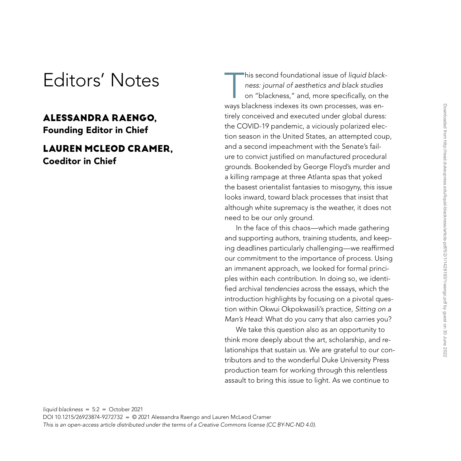## Editors' Notes

## **ALESSANDRA RAENGO,**

Founding Editor in Chief

## **LAUREN MCLEOD CRAMER,** Coeditor in Chief

This second foundational issue of *liquid black-*<br>
ness: journal of aesthetics and black studies<br>
on "blackness," and, more specifically, on the<br>
view blackness indexes its own presences was ap*ness: journal of aesthetics and black studies* on "blackness," and, more specifically, on the ways blackness indexes its own processes, was entirely conceived and executed under global duress: the COVID-19 pandemic, a viciously polarized election season in the United States, an attempted coup, and a second impeachment with the Senate's failure to convict justified on manufactured procedural grounds. Bookended by George Floyd's murder and a killing rampage at three Atlanta spas that yoked the basest orientalist fantasies to misogyny, this issue looks inward, toward black processes that insist that although white supremacy is the weather, it does not need to be our only ground.

In the face of this chaos—which made gathering and supporting authors, training students, and keeping deadlines particularly challenging—we reaffirmed our commitment to the importance of process. Using an immanent approach, we looked for formal principles within each contribution. In doing so, we identified archival *tendencies* across the essays, which the introduction highlights by focusing on a pivotal question within Okwui Okpokwasili's practice, *Sitting on a Man's Head*: What do you carry that also carries you?

We take this question also as an opportunity to think more deeply about the art, scholarship, and relationships that sustain us. We are grateful to our contributors and to the wonderful Duke University Press production team for working through this relentless assault to bring this issue to light. As we continue to